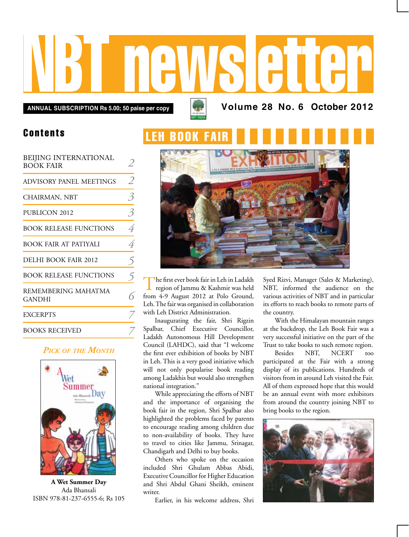# NBT newsletter

**Annual subscription Rs 5.00; 50 paise per copy Volume 28 No. 6 October 2012**

## Contents

| BEIJING INTERNATIONAL<br><b>BOOK FAIR</b> |                |
|-------------------------------------------|----------------|
| ADVISORY PANEL MEETINGS                   | $\mathcal{L}$  |
| CHAIRMAN, NBT                             | 3              |
| PUBLICON 2012                             | $\beta$        |
| <b>BOOK RELEASE FUNCTIONS</b>             | $\overline{4}$ |
| BOOK FAIR AT PATIYALI                     | 4              |
| DELHI BOOK FAIR 2012                      | $\mathcal{F}$  |
| <b>BOOK RELEASE FUNCTIONS</b>             | 5              |
| REMEMBERING MAHATMA<br>GANDHI             |                |
| <b>EXCERPTS</b>                           |                |
| <b>BOOKS RECEIVED</b>                     |                |

#### *Pick of the Month*



**A Wet Summer Day** Ada Bhansali ISBN 978-81-237-6555-6; Rs 105

# **FH ROOK**



The first ever book fair in Leh in Ladakh region of Jammu & Kashmir was held from 4-9 August 2012 at Polo Ground, Leh. The fair was organised in collaboration with Leh District Administration.

Inaugurating the fair, Shri Rigzin Spalbar, Chief Executive Councillor, Ladakh Autonomous Hill Development Council (LAHDC), said that "I welcome the first ever exhibition of books by NBT in Leh. This is a very good initiative which will not only popularise book reading among Ladakhis but would also strengthen national integration."

While appreciating the efforts of NBT and the importance of organising the book fair in the region, Shri Spalbar also highlighted the problems faced by parents to encourage reading among children due to non-availability of books. They have to travel to cities like Jammu, Srinagar, Chandigarh and Delhi to buy books.

Others who spoke on the occasion included Shri Ghulam Abbas Abidi, Executive Councillor for Higher Education and Shri Abdul Ghani Sheikh, eminent writer.

Earlier, in his welcome address, Shri

Syed Rizvi, Manager (Sales & Marketing), NBT, informed the audience on the various activities of NBT and in particular its efforts to reach books to remote parts of the country.

With the Himalayan mountain ranges at the backdrop, the Leh Book Fair was a very successful initiative on the part of the Trust to take books to such remote region.

Besides NBT, NCERT too participated at the Fair with a strong display of its publications. Hundreds of visitors from in around Leh visited the Fair. All of them expressed hope that this would be an annual event with more exhibitors from around the country joining NBT to bring books to the region.

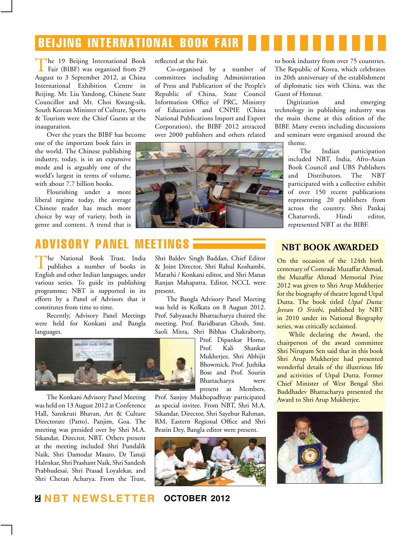## beijing international book fair

The 19 Beijing International Book Fair (BIBF) was organised from 29 August to 3 September 2012, at China International Exhibition Centre in Beijing. Mr. Liu Yandong, Chinese State Councillor and Mr. Choi Kwang-sik, South Korean Minister of Culture, Sports & Tourism were the Chief Guests at the inauguration.

Over the years the BIBF has become

one of the important book fairs in the world. The Chinese publishing industry, today, is in an expansive mode and is arguably one of the world's largest in terms of volume, with about 7.7 billion books.

Flourishing under a more liberal regime today, the average Chinese reader has much more choice by way of variety, both in genre and content. A trend that is

## Advisory Panel MeetingS

The National Book Trust, India publishes a number of books in English and other Indian languages, under various series. To guide its publishing programme; NBT is supported in its efforts by a Panel of Advisors that it constitutes from time to time.

Recently, Advisory Panel Meetings were held for Konkani and Bangla languages.



The Konkani Advisory Panel Meeting was held on 13 August 2012 at Conference Hall, Sanskruti Bhavan, Art & Culture Directorate (Patto), Panjim, Goa. The meeting was presided over by Shri M.A. Sikandar, Director, NBT. Others present at the meeting included Shri Pundalik Naik, Shri Damodar Mauzo, Dr Tanaji Halrnkar, Shri Prashant Naik, Shri Sandesh Prabhudesai, Shri Prasad Loyalekar, and Shri Chetan Acharya. From the Trust, reflected at the Fair.

Co-organised by a number of committees including Administration of Press and Publication of the People's Republic of China, State Council Information Office of PRC, Ministry of Education and CNPIE (China National Publications Import and Export Corporation), the BIBF 2012 attracted over 2000 publishers and others related



to book industry from over 75 countries. The Republic of Korea, which celebrates its 20th anniversary of the establishment of diplomatic ties with China, was the Guest of Honour.

Digitization and emerging technology in publishing industry was the main theme at this edition of the BIBF. Many events including discussions and seminars were organised around the theme.

> The Indian participation included NBT, India, Afro-Asian Book Council and UBS Publishers and Distributors. The NBT participated with a collective exhibit of over 150 recent publications representing 20 publishers from across the country. Shri Pankaj Chaturvedi, Hindi editor, represented NBT at the BIBF.

Shri Baldev Singh Baddan, Chief Editor & Joint Director, Shri Rahul Koshambi, Marathi / Konkani editor, and Shri Manas Ranjan Mahapatra, Editor, NCCL were **NBT BOOK AWARDED**

present. The Bangla Advisory Panel Meeting was held in Kolkata on 8 August 2012. Prof. Sabyasachi Bhattacharya chaired the meeting. Prof. Baridbaran Ghosh, Smt. Saoli Mitra, Shri Bibhas Chakraborty,

> Prof. Dipankar Home, Prof. Kali Shankar Mukherjee, Shri Abhijit Bhowmick, Prof. Juthika Bose and Prof. Sourin Bhattacharya were present as Members.

Prof. Sanjoy Mukhopadhyay participated as special invitee. From NBT, Shri M.A. Sikandar, Director, Shri Sayebur Rahman, RM, Eastern Regional Office and Shri Bratin Dey, Bangla editor were present.



On the occasion of the 124th birth

centenary of Comrade Muzaffar Ahmad, the Muzaffar Ahmad Memorial Prize 2012 was given to Shri Arup Mukherjee for the biography of theatre legend Utpal Dutta. The book titled *Utpal Dutta: Jeevan O Sristhi*, published by NBT in 2010 under its National Biography series, was critically acclaimed.

While declaring the Award, the chairperson of the award committee Shri Nirupam Sen said that in this book Shri Arup Mukherjee had presented wonderful details of the illustrious life and activities of Utpal Dutta. Former Chief Minister of West Bengal Shri Buddhadev Bhattacharya presented the Award to Shri Arup Mukherjee.

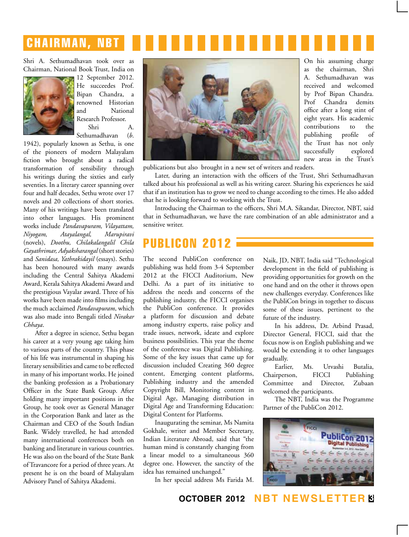# **CHAIRMAN, NBT**

Shri A. Sethumadhavan took over as Chairman, National Book Trust, India on



12 September 2012. He succeedes Prof. Bipan Chandra, a renowned Historian and National Research Professor.

Shri A. Sethumadhavan (*b*.

1942), popularly known as Sethu, is one of the pioneers of modern Malayalam fiction who brought about a radical transformation of sensibility through his writings during the sixties and early seventies. In a literary career spanning over four and half decades, Sethu wrote over 17 novels and 20 collections of short stories. Many of his writings have been translated into other languages. His prominent works include *Pandavapuram, Vilayattam, Niyogam, Atayalangal, Marupiravi*  (novels), *Doothu, Chilakalangalil Chila Gayathrimar, Adyaksharangal* (short stories) and *Sanidasa, Yathrakidayil* (essays). Sethu has been honoured with many awards including the Central Sahitya Akademi Award, Kerala Sahitya Akademi Award and the prestigious Vayalar award. Three of his works have been made into films including the much acclaimed *Pandavapuram*, which was also made into Bengali titled *Nirakar Chhaya*.

After a degree in science, Sethu began his career at a very young age taking him to various parts of the country. This phase of his life was instrumental in shaping his literary sensibilities and came to be reflected in many of his important works. He joined the banking profession as a Probationary Officer in the State Bank Group. After holding many important positions in the Group, he took over as General Manager in the Corporation Bank and later as the Chairman and CEO of the South Indian Bank. Widely travelled, he had attended many international conferences both on banking and literature in various countries. He was also on the board of the State Bank of Travancore for a period of three years. At present he is on the board of Malayalam Advisory Panel of Sahitya Akademi.



new areas in the Trust's publications but also brought in a new set of writers and readers.

Later, during an interaction with the officers of the Trust, Shri Sethumadhavan talked about his professional as well as his writing career. Sharing his experiences he said that if an institution has to grow we need to change according to the times. He also added that he is looking forward to working with the Trust.

Introducing the Chairman to the officers, Shri M.A. Sikandar, Director, NBT, said that in Sethumadhavan, we have the rare combination of an able administrator and a sensitive writer.

## publicon 2012

The second PubliCon conference on publishing was held from 3-4 September 2012 at the FICCI Auditorium, New Delhi. As a part of its initiative to address the needs and concerns of the publishing industry, the FICCI organises the PubliCon conference. It provides a platform for discussion and debate among industry experts, raise policy and trade issues, network, ideate and explore business possibilities. This year the theme of the conference was Digital Publishing. Some of the key issues that came up for discussion included Creating 360 degree content, Emerging content platforms, Publishing industry and the amended Copyright Bill, Monitoring content in Digital Age, Managing distribution in Digital Age and Transforming Education: Digital Content for Platforms.

Inaugurating the seminar, Ms Namita Gokhale, writer and Member Secretary, Indian Literature Abroad, said that "the human mind is constantly changing from a linear model to a simultaneous 360 degree one. However, the sanctity of the idea has remained unchanged."

In her special address Ms Farida M.

Naik, JD, NBT, India said "Technological development in the field of publishing is providing opportunities for growth on the one hand and on the other it throws open new challenges everyday. Conferences like the PubliCon brings in together to discuss some of these issues, pertinent to the future of the industry.

On his assuming charge as the chairman, Shri A. Sethumadhavan was received and welcomed by Prof Bipan Chandra. Prof Chandra demits office after a long stint of eight years. His academic contributions to the publishing profile of the Trust has not only successfully explored

In his address, Dr. Arbind Prasad, Director General, FICCI, said that the focus now is on English publishing and we would be extending it to other languages gradually.

Earlier, Ms. Urvashi Butalia, Chairperson, FICCI Publishing Committee and Director, Zubaan welcomed the participants.

The NBT, India was the Programme Partner of the PubliCon 2012.

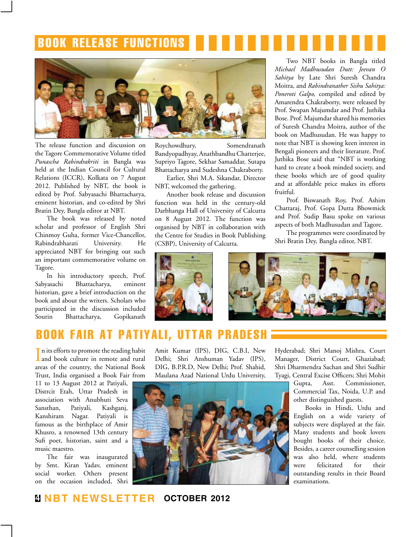## Book release functions



The release function and discussion on the Tagore Commemorative Volume titled *Punascha Rabindrakriti* in Bangla was held at the Indian Council for Cultural Relations (ICCR), Kolkata on 7 August 2012. Published by NBT, the book is edited by Prof. Sabyasachi Bhattacharya, eminent historian, and co-edited by Shri Bratin Dey, Bangla editor at NBT.

The book was released by noted scholar and professor of English Shri Chinmoy Guha, former Vice-Chancellor, Rabindrabharati University. He appreciated NBT for bringing out such an important commemorative volume on Tagore.

In his introductory speech, Prof. Sabyasachi Bhattacharya, eminent historian, gave a brief introduction on the book and about the writers. Scholars who participated in the discussion included Sourin Bhattacharya, Gopikanath Roychowdhury, Somendranath Bandyopadhyay, Anathbandhu Chatterjee, Supriyo Tagore, Sekhar Samaddar, Sutapa Bhattacharya and Sudeshna Chakraborty.

Earlier, Shri M.A. Sikandar, Director NBT, welcomed the gathering.

Another book release and discussion function was held in the century-old Darbhanga Hall of University of Calcutta on 8 August 2012. The function was organised by NBT in collaboration with the Centre for Studies in Book Publishing (CSBP), University of Calcutta.

Two NBT books in Bangla titled *Michael Madhusudan Dutt: Jeevan O Sahitya* by Late Shri Suresh Chandra Moitra, and *Rabindranather Sishu Sahitya: Poneroti Galpo,* compiled and edited by Amarendra Chakraborty, were released by Prof. Swapan Majumdar and Prof. Juthika Bose. Prof. Majumdar shared his memories of Suresh Chandra Moitra, author of the book on Madhusudan. He was happy to note that NBT is showing keen interest in Bengali pioneers and their literature. Prof. Juthika Bose said that "NBT is working hard to create a book minded society, and these books which are of good quality and at affordable price makes its efforts fruitful.

Prof. Biswanath Roy, Prof. Ashim Chattaraj, Prof. Gopa Dutta Bhowmick and Prof. Sudip Basu spoke on various aspects of both Madhusudan and Tagore.

The programmes were coordinated by Shri Bratin Dey, Bangla editor, NBT.





## book fair at patiyali, uttar pradesh

In its efforts to promote the reading habit<br>and book culture in remote and rural and book culture in remote and rural areas of the country, the National Book Trust, India organised a Book Fair from 11 to 13 August 2012 at Patiyali, Distrcit Etah, Uttar Pradesh in association with Anubhuti Seva Sansthan, Patiyali, Kashganj, Kanshiram Nagar. Patiyali is famous as the birthplace of Amir Khusro, a renowned 13th century Sufi poet, historian, saint and a music maestro.

The fair was inaugurated by Smt. Kiran Yadav, eminent social worker. Others present on the occasion included, Shri

Amit Kumar (IPS), DIG, C.B.I, New Delhi; Shri Anshuman Yadav (IPS), DIG, B.P.R.D, New Delhi; Prof. Shahid, Maulana Azad National Urdu University,



Hyderabad; Shri Manoj Mishra, Court Manager, District Court, Ghaziabad; Shri Dharmendra Sachan and Shri Sudhir Tyagi, Central Excise Officers; Shri Mohit

> Gupta, Asst. Commissioner, Commercial Tax, Noida, U.P. and other distinguished guests.

> Books in Hindi, Urdu and English on a wide variety of subjects were displayed at the fair. Many students and book lovers bought books of their choice. Besides, a career counselling session was also held, where students were felicitated for their outstanding results in their Board examinations.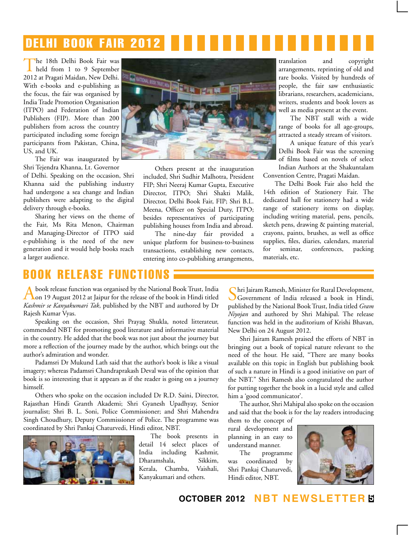## delhi book fair 2012

The 18th Delhi Book Fair was held from 1 to 9 September 2012 at Pragati Maidan, New Delhi. With e-books and e-publishing as the focus, the fair was organised by India Trade Promotion Organisation (ITPO) and Federation of Indian Publishers (FIP). More than 200 publishers from across the country participated including some foreign participants from Pakistan, China, US, and UK.

The Fair was inaugurated by Shri Tejendra Khanna, Lt. Governor

of Delhi. Speaking on the occasion, Shri Khanna said the publishing industry had undergone a sea change and Indian publishers were adapting to the digital delivery through e-books.

Sharing her views on the theme of the Fair, Ms Rita Menon, Chairman and Managing-Director of ITPO said e-publishing is the need of the new generation and it would help books reach a larger audience.



Others present at the inauguration included, Shri Sudhir Malhotra, President FIP; Shri Neeraj Kumar Gupta, Executive Director, ITPO; Shri Shakti Malik, Director, Delhi Book Fair, FIP; Shri B.L. Meena, Officer on Special Duty, ITPO; besides representatives of participating publishing houses from India and abroad.

The nine-day fair provided a unique platform for business-to-business transactions, establishing new contacts, entering into co-publishing arrangements,

translation and copyright arrangements, reprinting of old and rare books. Visited by hundreds of people, the fair saw enthusiastic librarians, researchers, academicians, writers, students and book lovers as well as media present at the event.

The NBT stall with a wide range of books for all age-groups, attracted a steady stream of visitors.

A unique feature of this year's Delhi Book Fair was the screening of films based on novels of select Indian Authors at the Shakuntalam

Convention Centre, Pragati Maidan. The Delhi Book Fair also held the

14th edition of Stationery Fair. The dedicated hall for stationery had a wide range of stationery items on display, including writing material, pens, pencils, sketch pens, drawing & painting material, crayons, paints, brushes, as well as office supplies, files, diaries, calendars, material for seminar, conferences, packing materials, etc.

## **BOOK RELEASE FUNCT**

Abook release function was organised by the National Book Trust, India on 19 August 2012 at Jaipur for the release of the book in Hindi titled *Kashmir se Kanyakumari Tak*, published by the NBT and authored by Dr Rajesh Kumar Vyas.

Speaking on the occasion, Shri Prayag Shukla, noted litterateur, commended NBT for promoting good literature and informative material in the country. He added that the book was not just about the journey but more a reflection of the journey made by the author, which brings out the author's admiration and wonder.

Padamsri Dr Mukund Lath said that the author's book is like a visual imagery; whereas Padamsri Chandraprakash Deval was of the opinion that book is so interesting that it appears as if the reader is going on a journey himself.

Others who spoke on the occasion included Dr R.D. Saini, Director, Rajasthan Hindi Granth Akademi; Shri Gyanesh Upadhyay, Senior journalist; Shri B. L. Soni, Police Commissioner; and Shri Mahendra Singh Choudhury, Deputy Commissioner of Police. The programme was coordinated by Shri Pankaj Chaturvedi, Hindi editor, NBT.



The book presents in detail 14 select places of India including Kashmir, Dharamshala, Sikkim, Kerala, Chamba, Vaishali, Kanyakumari and others.

Shri Jairam Ramesh, Minister for Rural Development, Government of India released a book in Hindi, published by the National Book Trust, India titled *Gram Niyojan* and authored by Shri Mahipal. The release function was held in the auditorium of Krishi Bhavan, New Delhi on 24 August 2012.

Shri Jairam Ramesh praised the efforts of NBT in bringing out a book of topical nature relevant to the need of the hour. He said, "There are many books available on this topic in English but publishing book of such a nature in Hindi is a good initiative on part of the NBT." Shri Ramesh also congratulated the author for putting together the book in a lucid style and called him a 'good communicator'.

The author, Shri Mahipal also spoke on the occasion and said that the book is for the lay readers introducing

them to the concept of rural development and planning in an easy to understand manner.

The programme was coordinated by Shri Pankaj Chaturvedi, Hindi editor, NBT.



**october 2012 NBT Newsletter 5**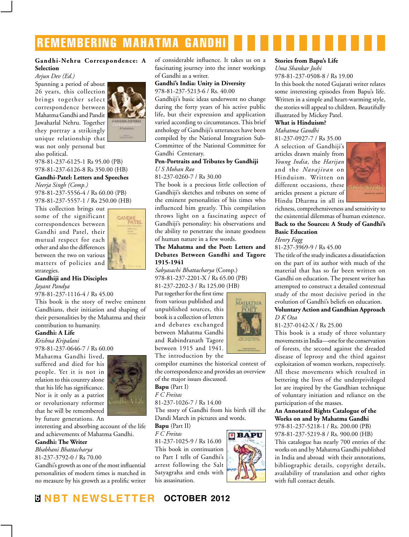## remembering mahatma gandhi

#### **Gandhi-Nehru Correspondence: A Selection**

#### *Arjun Dev (Ed.)*

Spanning a period of about 26 years, this collection brings together select correspondence between Mahatma Gandhi and Pandit Jawaharlal Nehru. Together they portray a strikingly unique relationship that



was not only personal but also political.

978-81-237-6125-1 Rs 95.00 (PB) 978-81-237-6126-8 Rs 350.00 (HB)

#### **Gandhi-Patel: Letters and Speeches** *Neerja Singh (Comp.)*

978-81-237-5556-4 / Rs 60.00 (PB) 978-81-237-5557-1 / Rs 250.00 (HB)

This collection brings out some of the significant correspondences between Gandhi and Patel, their mutual respect for each other and also the differences between the two on various matters of policies and strategies.



#### **Gandhiji and His Disciples** *Jayant Pandya*

978-81-237-1116-4 / Rs 45.00

This book is the story of twelve eminent Gandhians, their initiation and shaping of their personalities by the Mahatma and their contribution to humanity.

#### **Gandhi: A Life**

*Krishna Kripalani*

978-81-237-0646-7 / Rs 60.00

Mahatma Gandhi lived, suffered and died for his people. Yet it is not in relation to this country alone that his life has significance. Nor is it only as a patriot or revolutionary reformer that he will be remembered by future generations. An



interesting and absorbing account of the life and achievements of Mahatma Gandhi.

#### **Gandhi: The Writer**

*Bhabhani Bhattacharya* 81-237-3792-0 / Rs 70.00

Gandhi's growth as one of the most influential personalities of modern times is matched in no measure by his growth as a prolific writer of considerable influence. It takes us on a fascinating journey into the inner workings of Gandhi as a writer.

#### **Gandhi's India: Unity in Diversity** 978-81-237-5213-6 / Rs. 40.00

Gandhiji's basic ideas underwent no change during the forty years of his active public life, but their expression and application varied according to circumstances. This brief anthology of Gandhiji's utterances have been compiled by the National Integration Sub-Committee of the National Committee for Gandhi Centenary.

#### **Pen-Portraits and Tributes by Gandhiji** *U S Mohan Rao*

81-237-0260-7 / Rs 30.00

The book is a precious little collection of Gandhiji's sketches and tributes on some of the eminent personalities of his times who influenced him greatly. This compilation throws light on a fascinating aspect of Gandhiji's personality; his observations and the ability to penetrate the innate goodness of human nature in a few words.

#### **The Mahatma and the Poet: Letters and Debates Between Gandhi and Tagore 1915-1941**

*Sabyasachi Bhattacharya* (Comp.) 978-81-237-2201-X / Rs 65.00 (PB) 81-237-2202-3 / Rs 125.00 (HB)

Put together for the first time from various published and unpublished sources, this book is a collection of letters and debates exchanged between Mahatma Gandhi and Rabindranath Tagore between 1915 and 1941. The introduction by the

compilor examines the historical context of the correspondence and provides an overview of the major issues discussed.

**Bapu** (Part I)

*F C Freitas* 

81-237-1026-7 / Rs 14.00

The story of Gandhi from his birth till the Dandi March in pictures and words.

**Bapu** (Part II) *F C Freitas* 

81-237-1025-9 / Rs 16.00 This book in continuation to Part I tells of Gandhi's arrest following the Salt Satyagraha and ends with his assasination.



MAHATMA

#### **Stories from Bapu's Life**

*Uma Shankar Joshi* 978-81-237-0508-8 / Rs 19.00 In this book the noted Gujarati writer relates some interesting episodes from Bapu's life. Written in a simple and heart-warming style, the stories will appeal to children. Beautifully illustrated by Mickey Patel.

#### **What is Hinduism?**

*Mahatma Gandhi*

81-237-0927-7 / Rs 35.00 A selection of Gandhiji's articles drawn mainly from *Young India*, the *Harijan*  and the *Navajivan* on Hinduism. Written on different occasions, these articles present a picture of Hindu Dharma in all its



richness, comprehensiveness and sensitivity to the existential dilemmas of human existence. **Back to the Sources: A Study of Gandhi's Basic Education**

*Henry Fagg*

81-237-3969-9 / Rs 45.00

The title of the study indicates a dissatisfaction on the part of its author with much of the material that has so far been written on Gandhi on education. The present writer has attempted to construct a detailed contextual study of the most decisive period in the evolution of Gandhi's beliefs on education.

#### **Voluntary Action and Gandhian Approach** *D K Oza*

#### 81-237-0142-X / Rs 25.00

This book is a study of three voluntary movements in India—one for the conservation of forests, the second against the dreaded disease of leprosy and the third against exploitation of women workers, respectively. All these movements which resulted in bettering the lives of the underprivileged lot are inspired by the Gandhian technique of voluntary initiation and reliance on the participation of the masses.

#### **An Annotated Rights Catalogue of the Works on and by Mahatma Gandhi**

978-81-237-5218-1 / Rs. 200.00 (PB) 978-81-237-5219-8 / Rs. 900.00 (HB) This catalogue has nearly 700 entries of the works on and by Mahatma Gandhi published in India and abroad with their annotations, bibliographic details, copyright details, availability of translation and other rights with full contact details.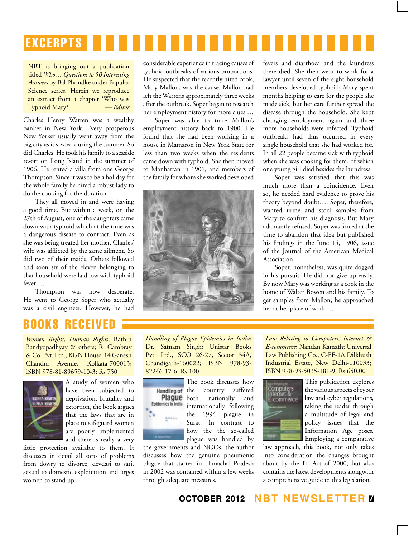# **EXCERPTS**

NBT is bringing out a publication titled *Who… Questions to 50 Interesting Answers* by Bal Phondke under Popular Science series. Herein we reproduce an extract from a chapter 'Who was Typhoid Mary?' — *Editor*

Charles Henry Warren was a wealthy banker in New York. Every prosperous New Yorker usually went away from the big city as it sizzled during the summer. So did Charles. He took his family to a seaside resort on Long Island in the summer of 1906. He rented a villa from one George Thompson. Since it was to be a holiday for the whole family he hired a robust lady to do the cooking for the duration.

They all moved in and were having a good time. But within a week, on the 27th of August, one of the daughters came down with typhoid which at the time was a dangerous disease to contract. Even as she was being treated her mother, Charles' wife was afflicted by the same ailment. So did two of their maids. Others followed and soon six of the eleven belonging to that household were laid low with typhoid fever….

Thompson was now desperate. He went to George Soper who actually was a civil engineer. However, he had considerable experience in tracing causes of typhoid outbreaks of various proportions. He suspected that the recently hired cook, Mary Mallon, was the cause. Mallon had left the Warrens approximately three weeks after the outbreak. Soper began to research her employment history for more clues.…

Soper was able to trace Mallon's employment history back to 1900. He found that she had been working in a house in Mamaron in New York State for less than two weeks when the residents came down with typhoid. She then moved to Manhattan in 1901, and members of the family for whom she worked developed



fevers and diarrhoea and the laundress there died. She then went to work for a lawyer until seven of the eight household members developed typhoid; Mary spent months helping to care for the people she made sick, but her care further spread the disease through the household. She kept changing employment again and three more households were infected. Typhoid outbreaks had thus occurred in every single household that she had worked for. In all 22 people became sick with typhoid when she was cooking for them, of which one young girl died besides the laundress.

Soper was satisfied that this was much more than a coincidence. Even so, he needed hard evidence to prove his theory beyond doubt…. Soper, therefore, wanted urine and stool samples from Mary to confirm his diagnosis. But Mary adamantly refused. Soper was forced at the time to abandon that idea but published his findings in the June 15, 1906, issue of the Journal of the American Medical Association.

Soper, nonetheless, was quite dogged in his pursuit. He did not give up easily. By now Mary was working as a cook in the home of Walter Bowen and his family. To get samples from Mallon, he approached her at her place of work.…

## books received

*Women Rights, Human Rights*; Rathin Bandyopadhyay & others; R. Cambray & Co. Pvt. Ltd., KGN House, 14 Ganesh Chandra Avenue, Kolkata-700013; ISBN 978-81-89659-10-3; Rs 750



A study of women who have been subjected to deprivation, brutality and extortion, the book argues that the laws that are in place to safeguard women are poorly implemented and there is really a very

little protection available to them. It discusses in detail all sorts of problems from dowry to divorce, devdasi to sati, sexual to domestic exploitation and urges women to stand up.

*Handling of Plague Epidemics in India*; Dr. Satnam Singh; Unistar Books Pvt. Ltd., SCO 26-27, Sector 34A, Chandigarh-160022; ISBN 978-93- 82246-17-6; Rs 100



The book discusses how the country suffered both nationally and internationally following the 1994 plague in Surat. In contrast to how the the so-called

plague was handled by the governments and NGOs, the author discusses how the genuine pneumonic plague that started in Himachal Pradesh in 2002 was contained within a few weeks through adequate measures.

*Law Relating to Computers, Internet & E-commerce*; Nandan Kamath; Universal Law Publishing Co., C-FF-1A Dilkhush Industrial Estate, New Delhi-110033; ISBN 978-93-5035-181-9; Rs 650.00



This publication explores the various aspects of cyber law and cyber regulations, taking the reader through a multitude of legal and policy issues that the Information Age poses. Employing a comparative

law approach, this book, not only takes into consideration the changes brought about by the IT Act of 2000, but also contains the latest developments alongwith a comprehensive guide to this legislation.

#### **october 2012 NBT Newsletter 7**